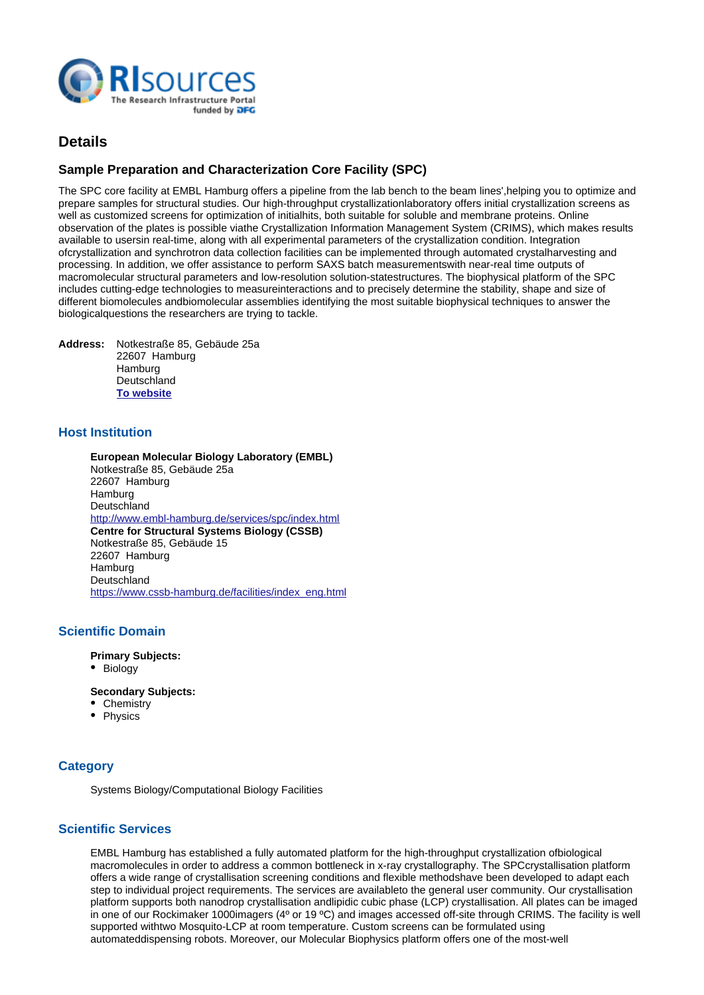

# **Details**

# **Sample Preparation and Characterization Core Facility (SPC)**

The SPC core facility at EMBL Hamburg offers a pipeline from the lab bench to the beam lines',
helping you to optimize and prepare samples for structural studies. Our high-throughput crystallization
laboratory offers initial crystallization screens as well as customized screens for optimization of initial
hits, both suitable for soluble and membrane proteins. Online observation of the plates is possible via the Crystallization Information Management System (CRIMS), which makes results available to users
in real-time, along with all experimental parameters of the crystallization condition. Integration of
crystallization and synchrotron data collection facilities can be implemented through automated crystal
harvesting and processing. In addition, we offer assistance to perform SAXS batch measurements
with near-real time outputs of macromolecular structural parameters and low-resolution solution-state
structures. The biophysical platform of the SPC includes cutting-edge technologies to measure interactions and to precisely determine the stability, shape and size of different biomolecules and
biomolecular assemblies identifying the most suitable biophysical techniques to answer the biological
questions the researchers are trying to tackle.

**Address:** Notkestraße 85, Gebäude 25a 22607 Hamburg **Hamburg Deutschland [To website](https://www.cssb-hamburg.de/facilities/htx/index_eng.html)**

# **Host Institution**

**European Molecular Biology Laboratory (EMBL)** Notkestraße 85, Gebäude 25a 22607 Hamburg Hamburg **Deutschland** <http://www.embl-hamburg.de/services/spc/index.html> **Centre for Structural Systems Biology (CSSB)** Notkestraße 85, Gebäude 15 22607 Hamburg Hamburg Deutschland [https://www.cssb-hamburg.de/facilities/index\\_eng.html](https://www.cssb-hamburg.de/facilities/index_eng.html)

# **Scientific Domain**

**Primary Subjects:**

• Biology

**Secondary Subjects:**

- Chemistry
- Physics

# **Category**

Systems Biology/Computational Biology Facilities

### **Scientific Services**

EMBL Hamburg has established a fully automated platform for the high-throughput crystallization of
biological macromolecules in order to address a common bottleneck in x-ray crystallography. The SPC
crystallisation platform offers a wide range of crystallisation screening conditions and flexible methods
have been developed to adapt each step to individual project requirements. The services are available to the general user community. Our crystallisation platform supports both nanodrop crystallisation and
lipidic cubic phase (LCP) crystallisation. All plates can be imaged in one of our Rockimaker 1000
imagers (4º or 19 ºC) and images accessed off-site through CRIMS. The facility is well supported with two Mosquito-LCP at room temperature. Custom screens can be formulated using automated
dispensing robots. Moreover, our Molecular Biophysics platform offers one of the most-well